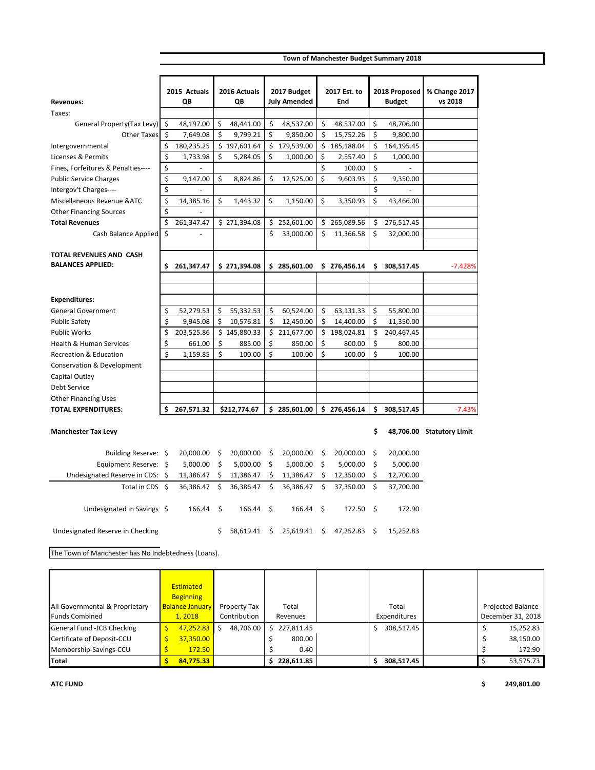| Town of Manchester Budget Summary 2018 |  |  |  |
|----------------------------------------|--|--|--|
|----------------------------------------|--|--|--|

|                                    |      | 2015 Actuals<br>QΒ |          | 2016 Actuals<br>QΒ |    | 2017 Budget<br><b>July Amended</b> |         | 2017 Est. to<br>End |     | 2018 Proposed<br><b>Budget</b> | % Change 2017<br>vs 2018  |
|------------------------------------|------|--------------------|----------|--------------------|----|------------------------------------|---------|---------------------|-----|--------------------------------|---------------------------|
| <b>Revenues:</b>                   |      |                    |          |                    |    |                                    |         |                     |     |                                |                           |
| Taxes:                             |      |                    |          |                    |    |                                    |         |                     |     |                                |                           |
| General Property(Tax Levy)         | \$   | 48,197.00          | \$<br>\$ | 48,441.00          | \$ | 48,537.00                          | \$<br>Ś | 48,537.00           | \$  | 48,706.00                      |                           |
| <b>Other Taxes</b>                 | - \$ | 7,649.08           |          | 9,799.21           | \$ | 9,850.00                           |         | 15,752.26           | \$  | 9,800.00                       |                           |
| Intergovernmental                  | \$   | 180,235.25         |          | \$197,601.64       |    | \$179,539.00                       | \$      | 185,188.04          | \$  | 164,195.45                     |                           |
| Licenses & Permits                 | \$   | 1,733.98           | \$       | 5,284.05           | \$ | 1,000.00                           | \$      | 2,557.40            | \$  | 1,000.00                       |                           |
| Fines, Forfeitures & Penalties---- | \$   |                    |          |                    |    |                                    | \$      | 100.00              | \$  |                                |                           |
| <b>Public Service Charges</b>      | \$   | 9,147.00           | \$       | 8,824.86           | \$ | 12,525.00                          | \$      | 9,603.93            | \$  | 9,350.00                       |                           |
| Intergov't Charges----             | \$   |                    |          |                    |    |                                    |         |                     | \$  |                                |                           |
| Miscellaneous Revenue & ATC        | \$   | 14,385.16          | \$       | 1,443.32           | \$ | 1,150.00                           | \$      | 3,350.93            | Ś   | 43,466.00                      |                           |
| <b>Other Financing Sources</b>     | \$   |                    |          |                    |    |                                    |         |                     |     |                                |                           |
| <b>Total Revenues</b>              | \$   | 261,347.47         |          | \$271,394.08       |    | \$252,601.00                       |         | \$265,089.56        | \$  | 276,517.45                     |                           |
| Cash Balance Applied               | \$   |                    |          |                    | \$ | 33,000.00                          | \$      | 11,366.58           | \$  | 32,000.00                      |                           |
|                                    |      |                    |          |                    |    |                                    |         |                     |     |                                |                           |
| TOTAL REVENUES AND CASH            |      |                    |          |                    |    |                                    |         |                     |     |                                |                           |
| <b>BALANCES APPLIED:</b>           | Ŝ.   | 261,347.47         |          | \$271,394.08       |    | \$285,601.00                       |         | \$276,456.14        | Ś.  | 308,517.45                     | $-7.428%$                 |
|                                    |      |                    |          |                    |    |                                    |         |                     |     |                                |                           |
|                                    |      |                    |          |                    |    |                                    |         |                     |     |                                |                           |
| <b>Expenditures:</b>               |      |                    |          |                    |    |                                    |         |                     |     |                                |                           |
| <b>General Government</b>          | \$   | 52,279.53          | \$       | 55,332.53          | Ś. | 60,524.00                          | \$      | 63,131.33           | \$  | 55,800.00                      |                           |
| <b>Public Safety</b>               | \$   | 9,945.08           | \$       | 10,576.81          | \$ | 12,450.00                          | \$      | 14,400.00           | \$  | 11,350.00                      |                           |
| <b>Public Works</b>                | \$   | 203,525.86         |          | \$145,880.33       | \$ | 211,677.00                         | Ś.      | 198,024.81          | \$  | 240,467.45                     |                           |
| Health & Human Services            | \$   | 661.00             | \$       | 885.00             | \$ | 850.00                             | \$      | 800.00              | \$  | 800.00                         |                           |
| <b>Recreation &amp; Education</b>  | \$   | 1,159.85           | \$       | 100.00             | \$ | 100.00                             | \$      | 100.00              | \$  | 100.00                         |                           |
| Conservation & Development         |      |                    |          |                    |    |                                    |         |                     |     |                                |                           |
| Capital Outlay                     |      |                    |          |                    |    |                                    |         |                     |     |                                |                           |
| <b>Debt Service</b>                |      |                    |          |                    |    |                                    |         |                     |     |                                |                           |
| <b>Other Financing Uses</b>        |      |                    |          |                    |    |                                    |         |                     |     |                                |                           |
| <b>TOTAL EXPENDITURES:</b>         | Ś.   | 267,571.32         |          | \$212.774.67       |    | \$285,601.00                       |         | \$276,456.14        | \$. | 308,517.45                     | $-7.43%$                  |
|                                    |      |                    |          |                    |    |                                    |         |                     |     |                                |                           |
| <b>Manchester Tax Levy</b>         |      |                    |          |                    |    |                                    |         |                     | Ś   |                                | 48,706.00 Statutory Limit |
|                                    |      |                    |          |                    |    |                                    |         |                     |     |                                |                           |
| Building Reserve: \$               |      | 20,000.00          | \$       | 20,000.00          | \$ | 20,000.00                          | \$      | 20,000.00           | \$  | 20,000.00                      |                           |
| Equipment Reserve: \$              |      | 5,000.00           | \$       | 5,000.00           | \$ | 5,000.00                           | \$      | 5,000.00            | \$  | 5,000.00                       |                           |
| Undesignated Reserve in CDS: \$    |      | 11,386.47          | \$       | 11,386.47          | Ś  | 11,386.47                          | \$      | 12,350.00           | Ś   | 12,700.00                      |                           |
| Total in CDS \$                    |      | 36,386.47          | \$       | 36,386.47          | \$ | 36,386.47                          | \$      | 37,350.00           | \$  | 37,700.00                      |                           |
|                                    |      |                    |          |                    |    |                                    |         |                     |     |                                |                           |
| Undesignated in Savings \$         |      | 166.44             | \$       | 166.44             | Ŝ. | 166.44                             | \$      | 172.50              | \$  | 172.90                         |                           |

Undesignated Reserve in Checking <br>  $$ 58,619.41 $ 25,619.41 $ 47,252.83 $ 15,252.83$ 

The Town of Manchester has No Indebtedness (Loans).

All Governmental & Proprietary Funds Combined **Estimated** Beginning Balance January 1, 2018 Property Tax Contribution Total Revenues Total Expenditures Projected Balance December 31, 2018 General Fund -JCB Checking \$ 47,252.83 \$ 48,706.00 \$ 227,811.45 \$ 308,517.45 \$ 15,252.83 Certificate of Deposit-CCU \$ 37,350.00 \$ 800.00 \$ 38,150.00 Membership-Savings-CCU \$ 172.50 \$ 0.40 \$ 172.90 **Total 8 84,775.33 \$ 228,611.85 \$ 308,517.45** \$ 53,575.73

**ATC FUND \$ 249,801.00**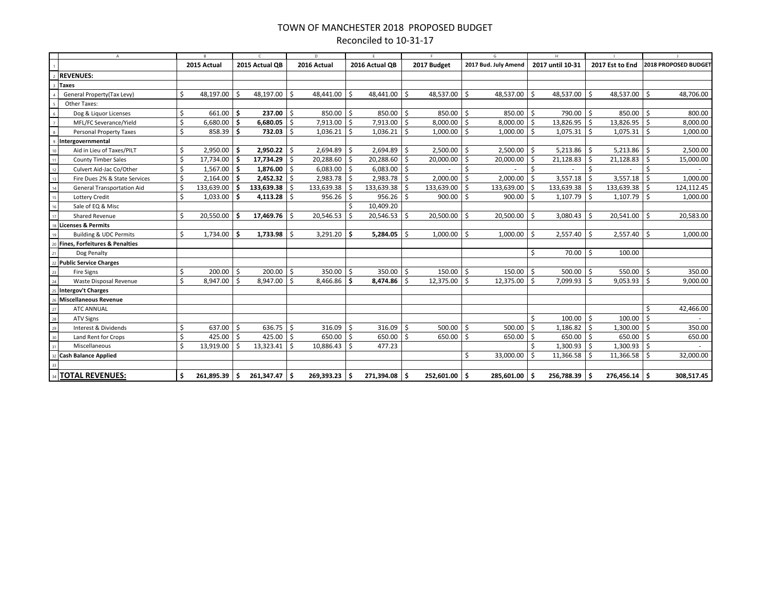## TOWN OF MANCHESTER 2018 PROPOSED BUDGET Reconciled to 10-31-17

|                               | $\overline{A}$                    |    |                |            |                   | D    |                |               |                |      |                 |    | G                    | H    |                  |               |                  |              |                      |
|-------------------------------|-----------------------------------|----|----------------|------------|-------------------|------|----------------|---------------|----------------|------|-----------------|----|----------------------|------|------------------|---------------|------------------|--------------|----------------------|
|                               |                                   |    | 2015 Actual    |            | 2015 Actual OB    |      | 2016 Actual    |               | 2016 Actual OB |      | 2017 Budget     |    | 2017 Bud. July Amend |      | 2017 until 10-31 |               | 2017 Est to End  |              | 2018 PROPOSED BUDGET |
|                               | 2 REVENUES:                       |    |                |            |                   |      |                |               |                |      |                 |    |                      |      |                  |               |                  |              |                      |
|                               | 3 Taxes                           |    |                |            |                   |      |                |               |                |      |                 |    |                      |      |                  |               |                  |              |                      |
|                               | General Property(Tax Levy)        |    | 48,197.00      | l \$       | 48,197.00 \$      |      | 48,441.00      | Ŝ.            | 48,441.00      | ∣ \$ | 48,537.00       | Ŝ. | 48,537.00            | Ŝ.   | 48,537.00        | Ŝ.            | 48,537.00 \$     |              | 48,706.00            |
|                               | Other Taxes:                      |    |                |            |                   |      |                |               |                |      |                 |    |                      |      |                  |               |                  |              |                      |
| 6                             | Dog & Liquor Licenses             | \$ | $661.00$ \$    |            | $237.00$ \$       |      | 850.00         | Ŝ.            | 850.00         | ۱Ś.  | 850.00          | Ŝ. | $850.00$ \$          |      | 790.00           | \$            | $850.00$ \$      |              | 800.00               |
| $\overline{7}$                | MFL/FC Severance/Yield            | \$ | 6,680.00       | 5 ا        | 6,680.05          | l\$  | 7,913.00       | \$            | 7,913.00       | \$   | 8,000.00        | \$ | $8,000.00$ \$        |      | 13,826.95        | \$            | 13,826.95        | $\mathsf{S}$ | 8,000.00             |
|                               | Personal Property Taxes           | \$ | 858.39         | $\vert$ \$ | 732.03            | Ŝ.   | 1,036.21       | Ŝ.            | 1,036.21       | -\$  | 1,000.00        | Ŝ. | $1,000.00$ \$        |      | 1,075.31         | Ŝ.            | 1,075.31         | ۱Ś           | 1,000.00             |
|                               | Intergovernmental                 |    |                |            |                   |      |                |               |                |      |                 |    |                      |      |                  |               |                  |              |                      |
| 10                            | Aid in Lieu of Taxes/PILT         | Ś. | $2,950.00$ \$  |            | $2,950.22$ \$     |      | 2,694.89       | Ŝ.            | 2,694.89       | 5 ا  | 2,500.00        | Ŝ. | $2,500.00$ \$        |      | 5,213.86         | . څ           | $5,213.86$ \$    |              | 2,500.00             |
| 11                            | <b>County Timber Sales</b>        | \$ | 17,734.00      | $\vert$ \$ | 17,734.29         | l \$ | 20,288.60      | Ŝ.            | 20,288.60      | -\$  | 20,000.00       | \$ | $20,000.00$ \$       |      | 21,128.83        | \$            | $21,128.83$ \$   |              | 15,000.00            |
| 12                            | Culvert Aid-Jac Co/Other          | Ś  | $1,567.00$ \$  |            | $1,876.00$ \$     |      | 6,083.00       | $+$ \$        | 6,083.00       | 5    |                 | Ś  |                      | Ŝ.   |                  | Ŝ.            |                  | Ś            |                      |
| 13                            | Fire Dues 2% & State Services     | Ś  | $2,164.00$ \$  |            | $2,452.32$ \$     |      | 2,983.78       | -Ŝ            | 2,983.78       | \$   | 2,000.00        | \$ | $2,000.00$ \$        |      | 3,557.18         | . \$          | $3,557.18$ \$    |              | 1,000.00             |
| 14                            | General Transportation Aid        |    | 133,639.00 \$  |            | 133,639.38 \$     |      | 133,639.38     |               | 133,639.38     | 5    | 133,639.00      | Ŝ. | 133,639.00 \$        |      | 133,639.38       | Ŝ.            | $133,639.38$ \$  |              | 124,112.45           |
| $\overline{\mathbf{r}}_{15}$  | Lottery Credit                    | \$ | $1,033.00$ \$  |            | $4,113.28$ \$     |      | 956.26         | -Ŝ            | 956.26         | ∣ \$ | 900.00          | Ŝ. | $900.00$ \$          |      | 1,107.79         | 5،            | $1,107.79$ \$    |              | 1,000.00             |
| 16                            | Sale of EQ & Misc                 |    |                |            |                   |      |                |               | 10,409.20      |      |                 |    |                      |      |                  |               |                  |              |                      |
| 17                            | Shared Revenue                    | \$ | $20,550.00$ \$ |            | 17,469.76 \$      |      | 20,546.53      | Ŝ.            | 20,546.53      | l \$ | $20,500.00$ \$  |    | $20,500.00$ \$       |      | 3,080.43         | S.            | $20,541.00$   \$ |              | 20,583.00            |
|                               | <b>Licenses &amp; Permits</b>     |    |                |            |                   |      |                |               |                |      |                 |    |                      |      |                  |               |                  |              |                      |
|                               | <b>Building &amp; UDC Permits</b> | Ś. | $1,734.00$ \$  |            | $1,733.98$ \$     |      | $3,291.20$ \$  |               | 5,284.05       | 5    | $1,000.00$ \$   |    | 1,000.00             | 1 \$ | 2,557.40         | ا \$          | $2,557.40$   \$  |              | 1,000.00             |
|                               | 20 Fines, Forfeitures & Penalties |    |                |            |                   |      |                |               |                |      |                 |    |                      |      |                  |               |                  |              |                      |
|                               | Dog Penalty                       |    |                |            |                   |      |                |               |                |      |                 |    |                      | Ś.   | $70.00$   \$     |               | 100.00           |              |                      |
|                               | 22 Public Service Charges         |    |                |            |                   |      |                |               |                |      |                 |    |                      |      |                  |               |                  |              |                      |
|                               | <b>Fire Signs</b>                 | \$ | $200.00$ \$    |            | $200.00$ \$       |      | 350.00         | $\frac{1}{2}$ | 350.00         | -\$  | $150.00$   \$   |    | $150.00$   \$        |      | 500.00           | \$            | $550.00$   \$    |              | 350.00               |
| 24                            | Waste Disposal Revenue            | \$ | 8,947.00 \$    |            | 8,947.00 \$       |      | 8,466.86       | -Ś            | 8,474.86       | -\$  | 12,375.00       | Ŝ. | 12,375.00            | - Ś  | 7,099.93         | Ŝ.            | 9,053.93         | ۱Ś           | 9,000.00             |
|                               | <b>Intergov't Charges</b>         |    |                |            |                   |      |                |               |                |      |                 |    |                      |      |                  |               |                  |              |                      |
|                               | <b>Miscellaneous Revenue</b>      |    |                |            |                   |      |                |               |                |      |                 |    |                      |      |                  |               |                  |              |                      |
| 27                            | <b>ATC ANNUAL</b>                 |    |                |            |                   |      |                |               |                |      |                 |    |                      |      |                  |               |                  | \$           | 42,466.00            |
| 28                            | <b>ATV Signs</b>                  |    |                |            |                   |      |                |               |                |      |                 |    |                      | \$   | 100.00           | $\frac{1}{2}$ | 100.00           | -\$          |                      |
| $\frac{29}{30}$               | Interest & Dividends              | \$ | $637.00$ \$    |            | $636.75$ \$       |      | 316.09         | \$            | 316.09         | 5    | 500.00          | \$ | 500.00               | \$   | 1,186.82         | \$            | 1,300.00         | -\$          | 350.00               |
|                               | Land Rent for Crops               | Ś  | $425.00$ \$    |            | 425.00 $\vert$ \$ |      | $650.00$ \$    |               | 650.00         | Ś.   | 650.00          | Ŝ. | $650.00$ \$          |      | $650.00$   \$    |               | $650.00$   \$    |              | 650.00               |
| $\overline{\phantom{a}}_{31}$ | Miscellaneous                     | \$ | 13,919.00      | 1 \$       | $13,323.41$ \$    |      | $10,886.43$ \$ |               | 477.23         |      |                 |    |                      | Ś.   | 1,300.93         | S.            | $1,300.93$ \$    |              |                      |
| 32                            | <b>Cash Balance Applied</b>       |    |                |            |                   |      |                |               |                |      |                 | \$ | 33,000.00            | ١ś   | 11,366.58        | Ŝ.            | $11,366.58$ \$   |              | 32,000.00            |
| 33                            |                                   |    |                |            |                   |      |                |               |                |      |                 |    |                      |      |                  |               |                  |              |                      |
|                               | <b>TOTAL REVENUES:</b>            | \$ | 261,895.39     | ۱s         | 261,347.47        | د ا  | 269,393.23     |               | 271,394.08     | ۰\$  | $252,601.00$ \$ |    | 285,601.00           |      | 256,788.39       |               | 276,456.14 \$    |              | 308,517.45           |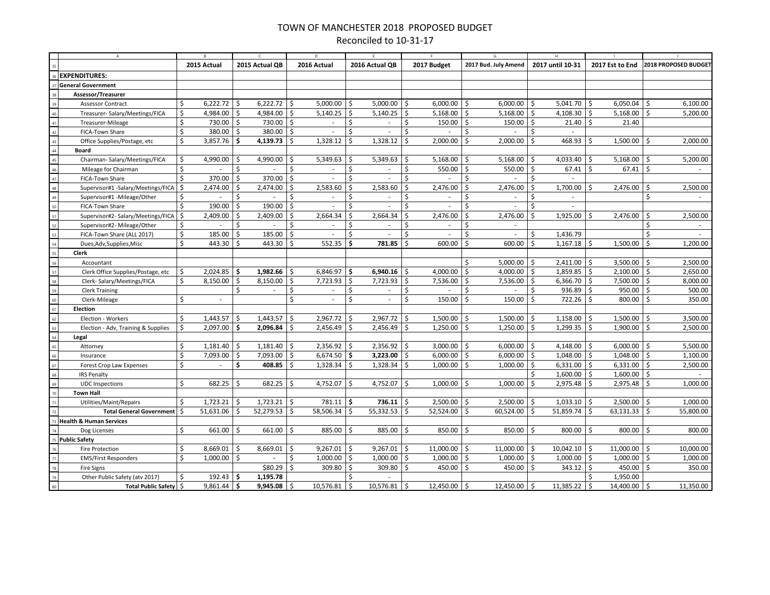## TOWN OF MANCHESTER 2018 PROPOSED BUDGET Reconciled to 10-31-17

|                                               |                                     |                    | 2015 Actual   |              | 2015 Actual QB |                     | 2016 Actual              |                    | 2016 Actual QB |                    | 2017 Budget |    | 2017 Bud. July Amend     |              | 2017 until 10-31    |              | 2017 Est to End   |                    | 2018 PROPOSED BUDGET |
|-----------------------------------------------|-------------------------------------|--------------------|---------------|--------------|----------------|---------------------|--------------------------|--------------------|----------------|--------------------|-------------|----|--------------------------|--------------|---------------------|--------------|-------------------|--------------------|----------------------|
|                                               | <b>EXPENDITURES:</b>                |                    |               |              |                |                     |                          |                    |                |                    |             |    |                          |              |                     |              |                   |                    |                      |
|                                               | <b>General Government</b>           |                    |               |              |                |                     |                          |                    |                |                    |             |    |                          |              |                     |              |                   |                    |                      |
|                                               | Assessor/Treasurer                  |                    |               |              |                |                     |                          |                    |                |                    |             |    |                          |              |                     |              |                   |                    |                      |
|                                               | Assessor Contract                   | \$                 | $6,222.72$ \$ |              | $6,222.72$ \$  |                     | $5,000.00$   \$          |                    | 5,000.00       | \$                 | 6,000.00    | \$ | $6,000.00$ \$            |              | $5,041.70$ \$       |              | $6,050.04$ \$     |                    | 6,100.00             |
| $\begin{array}{c} 39 \\ 40 \\ 41 \end{array}$ | Treasurer-Salary/Meetings/FICA      | \$                 | 4,984.00      | -\$          | 4,984.00 \$    |                     | $5,140.25$ \$            |                    | 5,140.25       | ۱\$                | 5,168.00    | Ś  | $5,168.00$   \$          |              | 4,108.30            | \$           | $5,168.00$   \$   |                    | 5,200.00             |
|                                               | Treasurer-Mileage                   | Ś.                 | 730.00        | ۱Ś           | 730.00 \$      |                     | ÷.                       | Ŝ.                 | ÷.             | Ŝ.                 | 150.00      | Ś. | $150.00$   \$            |              | $21.40$ \$          |              | 21.40             |                    |                      |
| 42                                            | FICA-Town Share                     | Ś.                 | 380.00        | -\$          | 380.00         | l \$                | ÷                        | Ŝ.                 |                | Ŝ.                 |             | Ś  |                          | Ŝ.           |                     |              |                   |                    |                      |
|                                               | Office Supplies/Postage, etc        | \$                 | 3,857.76      | -\$          | 4,139.73 \$    |                     | 1,328.12                 | Ŝ.                 | 1,328.12       | Ŝ.                 | 2,000.00    | Ś  | 2,000.00                 | Ŝ.           | 468.93              | Ŝ.           | $1,500.00$ \$     |                    | 2,000.00             |
| $43$ $44$ $45$ $46$ $47$                      | <b>Board</b>                        |                    |               |              |                |                     |                          |                    |                |                    |             |    |                          |              |                     |              |                   |                    |                      |
|                                               | Chairman-Salary/Meetings/FICA       | \$                 | 4,990.00      | \$           | 4,990.00       | -\$                 | 5,349.63                 | \$                 | 5,349.63       | \$                 | 5,168.00    | Ś  | 5,168.00                 | \$           | 4,033.40            | \$           | 5,168.00          | Ŝ.                 | 5,200.00             |
|                                               | Mileage for Chairman                | \$                 |               | \$           |                | Ś                   | $\overline{\phantom{a}}$ | \$                 |                | \$                 | 550.00      | Ś  | $550.00$   \$            |              | 67.41               | $\mathsf{S}$ | $67.41$ \$        |                    |                      |
|                                               | FICA-Town Share                     | Ś.                 | 370.00        | \$           | 370.00         | $\ddot{\mathsf{S}}$ | ÷.                       | $\mathsf{\hat{S}}$ | $\sim$         | Ŝ.                 |             | Ś  |                          | \$           |                     |              |                   |                    |                      |
| $\frac{1}{48}$                                | Supervisor#1 -Salary/Meetings/FICA  | \$                 | 2,474.00      | -\$          | 2,474.00       | -\$                 | 2,583.60                 | \$                 | 2,583.60       | \$                 | 2,476.00    | Ś  | 2,476.00                 | \$           | 1,700.00            | Ŝ.           | 2,476.00          | Ŝ.                 | 2,500.00             |
| $\overline{49}$                               | Supervisor#1 -Mileage/Other         | \$                 |               | Ś            |                | Ś                   |                          | \$                 |                | Ś                  |             | \$ |                          | Ś.           |                     |              |                   | \$.                |                      |
| $\frac{1}{50}$                                | FICA-Town Share                     | \$                 | 190.00        | \$           | 190.00         | \$                  |                          | \$                 |                | \$                 |             | Ś  |                          | \$           |                     |              |                   |                    |                      |
|                                               | Supervisor#2- Salary/Meetings/FICA  | \$                 | 2,409.00      | -\$          | $2,409.00$ \$  |                     | 2,664.34                 | \$                 | 2,664.34       | \$                 | 2,476.00    | Ś  | 2,476.00                 | \$           | 1,925.00            | Ŝ.           | 2,476.00          | Ŝ.                 | 2,500.00             |
| 52                                            | Supervisor#2- Mileage/Other         | \$                 |               | \$           |                | Ś.                  | $\overline{\phantom{a}}$ | \$                 | $\sim$         | \$                 | $\sim$      | Ś  | ٠                        |              |                     |              |                   | Ś                  |                      |
| 53                                            | FICA-Town Share (ALL 2017)          | \$                 | 185.00        | -\$          | 185.00         | \$ ا                | $\overline{\phantom{a}}$ | Ŝ.                 | $\sim$         | Ŝ.                 |             | Ś  | $\overline{\phantom{a}}$ | Ŝ.           | 1,436.79            |              |                   | Ś.                 |                      |
| $\overline{54}$                               | Dues, Adv, Supplies, Misc           | Ś.                 | 443.30        | Ś.           | 443.30 \$      |                     | 552.35                   | \$                 | 781.85         | $\zeta$            | 600.00      | Ś. | 600.00                   | $\mathsf{S}$ | $1,167.18$ \$       |              | 1,500.00          | $\dot{\mathsf{s}}$ | 1,200.00             |
| 55                                            | Clerk                               |                    |               |              |                |                     |                          |                    |                |                    |             |    |                          |              |                     |              |                   |                    |                      |
| $\frac{1}{56}$                                | Accountant                          |                    |               |              |                |                     |                          |                    |                |                    |             | \$ | 5,000.00                 | \$           | 2,411.00            | \$           | $3,500.00$ \$     |                    | 2,500.00             |
| $\frac{38}{57}$                               | Clerk Office Supplies/Postage, etc  | \$                 | 2,024.85      | -\$          | $1,982.66$ \$  |                     | 6,846.97                 | \$.                | 6,940.16       | ۱\$                | 4,000.00    | Ś  | 4,000.00                 | \$           | 1,859.85            | \$           | $2,100.00$ \$     |                    | 2,650.00             |
| 58                                            | Clerk-Salary/Meetings/FICA          | \$.                | 8,150.00      | l \$         | $8,150.00$ \$  |                     | 7,723.93                 | Ŝ.                 | 7,723.93       | ∣\$                | 7,536.00    | Ś  | $7,536.00$ \$            |              | $6,366.70$ \$       |              | 7,500.00 \$       |                    | 8,000.00             |
| $\frac{1}{59}$                                | <b>Clerk Training</b>               |                    |               | \$           | $\sim$         | \$                  | $\sim$                   | \$                 | $\sim$         | \$                 |             | Ś  |                          | \$           | $936.89$ \$         |              | $950.00$   \$     |                    | 500.00               |
| 60                                            | Clerk-Mileage                       | Ś.                 | $\sim$        |              |                | \$                  | ÷.                       | Ś.                 | ÷.             | $\mathsf{\hat{S}}$ | 150.00      | Ś. | 150.00                   | $\zeta$      | $722.26$ \$         |              | $800.00$   \$     |                    | 350.00               |
| 61                                            | Election                            |                    |               |              |                |                     |                          |                    |                |                    |             |    |                          |              |                     |              |                   |                    |                      |
| 62                                            | Election - Workers                  | \$                 | 1,443.57      | -\$          | 1,443.57       | l \$                | 2,967.72                 | -\$                | 2,967.72       | \$                 | 1,500.00    | \$ | 1,500.00                 | 5            | 1,158.00            | \$           | $1,500.00$   \$   |                    | 3,500.00             |
| 63                                            | Election - Adv, Training & Supplies | \$                 | 2,097.00      | 5 ا          | 2,096.84       | 5                   | 2,456.49                 | Ŝ.                 | 2,456.49       | $\zeta$            | 1,250.00    | \$ | 1,250.00                 | Ŝ.           | 1,299.35            | \$           | $1,900.00$   \$   |                    | 2,500.00             |
| $\overline{64}$                               | Legal                               |                    |               |              |                |                     |                          |                    |                |                    |             |    |                          |              |                     |              |                   |                    |                      |
| 65                                            | Attorney                            | \$                 | 1,181.40      | 5 ا          | $1,181.40$ \$  |                     | $2,356.92$ \$            |                    | 2,356.92       | l \$               | 3,000.00    | Ś. | $6,000.00$   \$          |              | 4,148.00 $\vert$ \$ |              | $6,000.00$   \$   |                    | 5,500.00             |
| 66                                            | Insurance                           | $\mathsf{\hat{S}}$ | 7,093.00      | $\mathsf{S}$ | 7,093.00 \$    |                     | $6,674.50$ \$            |                    | 3,223.00       | ∣ \$               | 6,000.00    | Ś. | $6,000.00$ \$            |              | $1,048.00$ \$       |              | $1,048.00$   \$   |                    | 1,100.00             |
| 67                                            | Forest Crop Law Expenses            | \$                 |               | Ś            | $408.85$ \$    |                     | $1,328.34$   \$          |                    | 1,328.34       | $\zeta$            | 1,000.00    | \$ | $1,000.00$ \$            |              | $6,331.00$ \$       |              | $6,331.00$ \$     |                    | 2,500.00             |
| 68                                            | <b>IRS Penalty</b>                  |                    |               |              |                |                     |                          |                    |                |                    |             |    |                          | Ŝ.           | 1,600.00            | $\mathsf{S}$ | $1,600.00$ \$     |                    |                      |
| 69                                            | <b>UDC</b> Inspections              | \$                 | 682.25        | Ŝ.           | 682.25         | ∣\$                 | 4,752.07                 | Ŝ.                 | 4,752.07       | Ŝ.                 | 1,000.00    | Ś  | 1,000.00                 | Ŝ.           | 2,975.48            | Ŝ.           | $2,975.48$ \$     |                    | 1,000.00             |
| 70                                            | <b>Town Hall</b>                    |                    |               |              |                |                     |                          |                    |                |                    |             |    |                          |              |                     |              |                   |                    |                      |
| 71                                            | Utilities/Maint/Repairs             | \$                 | 1,723.21      | S.           | $1,723.21$ \$  |                     | $781.11$ \$              |                    | 736.11         | ۱\$                | 2,500.00    | \$ | $2,500.00$ \$            |              | $1,033.10$ \$       |              | $2,500.00$ \$     |                    | 1,000.00             |
| $\overline{z}$                                | Total General Government   \$       |                    | 51,631.06     | $\mathsf{S}$ | $52,279.53$ \$ |                     | 58,506.34 \$             |                    | 55,332.53      | ١\$                | 52,524.00   | Ś. | $60,524.00$ \$           |              | $51,859.74$ \$      |              | $63,131.33$ \$    |                    | 55,800.00            |
|                                               | <b>Health &amp; Human Services</b>  |                    |               |              |                |                     |                          |                    |                |                    |             |    |                          |              |                     |              |                   |                    |                      |
|                                               | Dog Licenses                        | Ś.                 | 661.00        | -\$          | 661.00         | ۱s                  | 885.00                   | - Ś                | 885.00         | -\$                | 850.00      | Ś. | 850.00                   | Ŝ.           | 800.00              | - Ś          | $800.00$   \$     |                    | 800.00               |
|                                               | <b>Public Safety</b>                |                    |               |              |                |                     |                          |                    |                |                    |             |    |                          |              |                     |              |                   |                    |                      |
| 76                                            | <b>Fire Protection</b>              | \$                 | 8,669.01      | -\$          | 8,669.01       | \$.                 | 9,267.01                 | \$                 | 9,267.01       | \$                 | 11,000.00   | Ś  | $11,000.00$   \$         |              | 10,042.10           | -\$          | $11,000.00$ \$    |                    | 10,000.00            |
| $\overline{77}$<br>78                         | <b>EMS/First Responders</b>         | Ś.                 | $1,000.00$ \$ |              |                | Ś.                  | $1,000.00$ \$            |                    | 1,000.00       | 5                  | 1,000.00    | \$ | $1,000.00$ \$            |              | 1,000.00            | $\mathsf{S}$ | $1,000.00$ \$     |                    | 1,000.00             |
| 79                                            | <b>Fire Signs</b>                   |                    |               |              | $$80.29$ \$    |                     | $309.80$ \$              |                    | 309.80         | $\mathsf{S}$       | 450.00      | \$ | 450.00 $\vert$ \$        |              | $343.12$ \$         |              | 450.00 $\vert$ \$ |                    | 350.00               |
| $\overline{80}$                               | Other Public Safety (atv 2017)      | \$                 | 192.43        | ا \$         | 1,195.78       |                     |                          | Ś.                 |                |                    |             |    |                          |              |                     | Ŝ.           | 1,950.00          |                    |                      |
|                                               | Total Public Safety   \$            |                    | 9,861.44      | l \$         | $9,945.08$ \$  |                     | 10,576.81                | Ś.                 | 10,576.81      | Ŝ.                 | 12,450.00   | Ś. | 12,450.00                | Ŝ.           | 11,385.22           | Ś.           | 14,400.00         | -Ś                 | 11,350.00            |